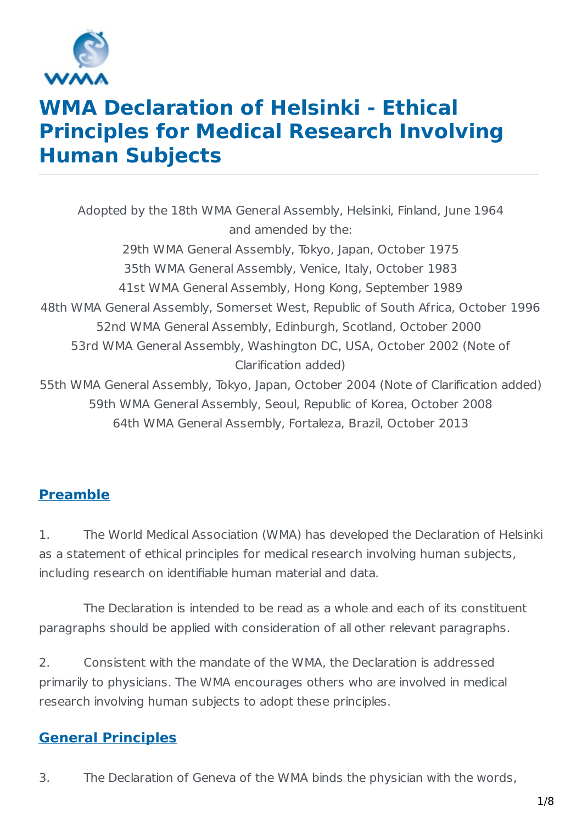

# **WMA Declaration of Helsinki - Ethical Principles for Medical Research Involving Human Subjects**

Adopted by the 18th WMA General Assembly, Helsinki, Finland, June 1964 and amended by the: 29th WMA General Assembly, Tokyo, Japan, October 1975 35th WMA General Assembly, Venice, Italy, October 1983 41st WMA General Assembly, Hong Kong, September 1989 48th WMA General Assembly, Somerset West, Republic of South Africa, October 1996 52nd WMA General Assembly, Edinburgh, Scotland, October 2000 53rd WMA General Assembly, Washington DC, USA, October 2002 (Note of Clarification added) 55th WMA General Assembly, Tokyo, Japan, October 2004 (Note of Clarification added)

59th WMA General Assembly, Seoul, Republic of Korea, October 2008 64th WMA General Assembly, Fortaleza, Brazil, October 2013

## **Preamble**

1. The World Medical Association (WMA) has developed the Declaration of Helsinki as a statement of ethical principles for medical research involving human subjects, including research on identifiable human material and data.

The Declaration is intended to be read as a whole and each of its constituent paragraphs should be applied with consideration of all other relevant paragraphs.

2. Consistent with the mandate of the WMA, the Declaration is addressed primarily to physicians. The WMA encourages others who are involved in medical research involving human subjects to adopt these principles.

## **General Principles**

3. The Declaration of Geneva of the WMA binds the physician with the words,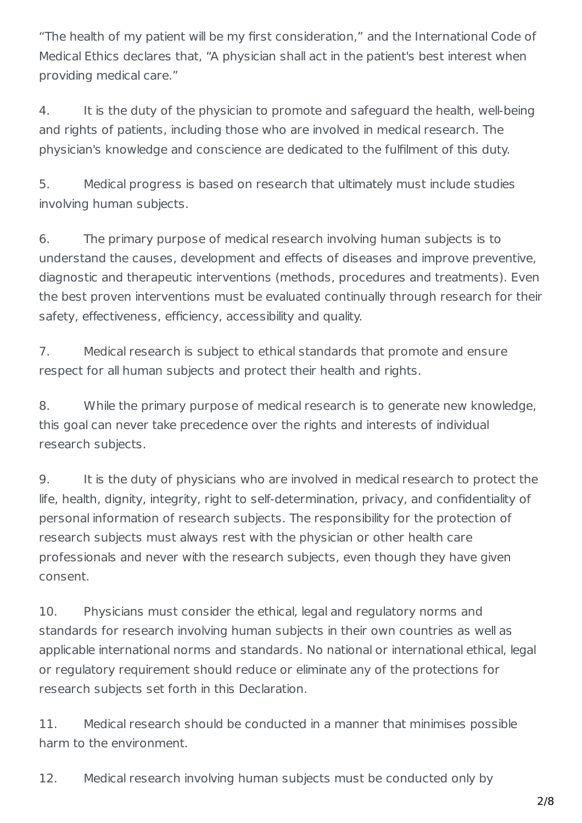"The health of my patient will be my first consideration," and the International Code of Medical Ethics declares that, "A physician shall act in the patient's best interest when providing medical care."

4. It is the duty of the physician to promote and safeguard the health, well-being and rights of patients, including those who are involved in medical research. The physician's knowledge and conscience are dedicated to the fulfilment of this duty.

5. Medical progress is based on research that ultimately must include studies involving human subjects.

6. The primary purpose of medical research involving human subjects is to understand the causes, development and effects of diseases and improve preventive, diagnostic and therapeutic interventions (methods, procedures and treatments). Even the best proven interventions must be evaluated continually through research for their safety, effectiveness, efficiency, accessibility and quality.

7. Medical research is subject to ethical standards that promote and ensure respect for all human subjects and protect their health and rights.

8. While the primary purpose of medical research is to generate new knowledge, this goal can never take precedence over the rights and interests of individual research subjects.

9. It is the duty of physicians who are involved in medical research to protect the life, health, dignity, integrity, right to self-determination, privacy, and confidentiality of personal information of research subjects. The responsibility for the protection of research subjects must always rest with the physician or other health care professionals and never with the research subjects, even though they have given consent.

10. Physicians must consider the ethical, legal and regulatory norms and standards for research involving human subjects in their own countries as well as applicable international norms and standards. No national or international ethical, legal or regulatory requirement should reduce or eliminate any of the protections for research subjects set forth in this Declaration.

11. Medical research should be conducted in a manner that minimises possible harm to the environment.

12. Medical research involving human subjects must be conducted only by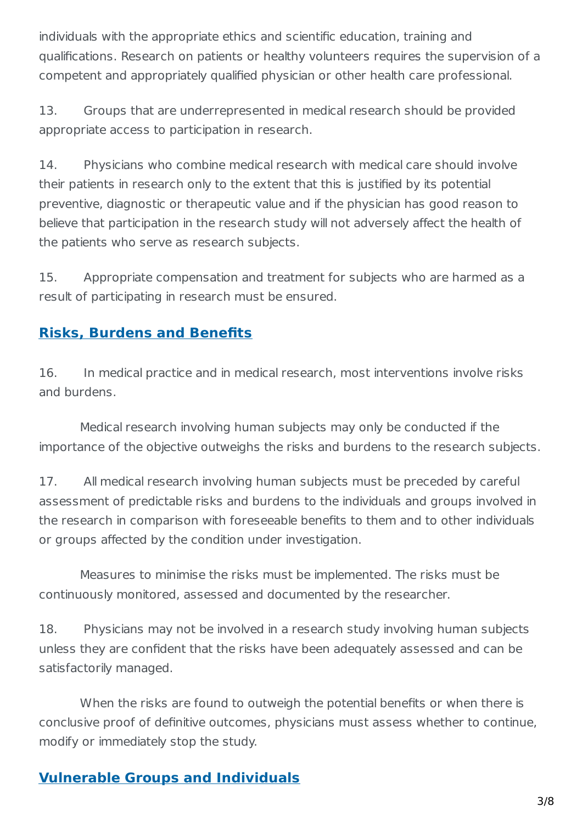individuals with the appropriate ethics and scientific education, training and qualifications. Research on patients or healthy volunteers requires the supervision of a competent and appropriately qualified physician or other health care professional.

13. Groups that are underrepresented in medical research should be provided appropriate access to participation in research.

14. Physicians who combine medical research with medical care should involve their patients in research only to the extent that this is justified by its potential preventive, diagnostic or therapeutic value and if the physician has good reason to believe that participation in the research study will not adversely affect the health of the patients who serve as research subjects.

15. Appropriate compensation and treatment for subjects who are harmed as a result of participating in research must be ensured.

#### **Risks, Burdens and Benefits**

16. In medical practice and in medical research, most interventions involve risks and burdens.

Medical research involving human subjects may only be conducted if the importance of the objective outweighs the risks and burdens to the research subjects.

17. All medical research involving human subjects must be preceded by careful assessment of predictable risks and burdens to the individuals and groups involved in the research in comparison with foreseeable benefits to them and to other individuals or groups affected by the condition under investigation.

Measures to minimise the risks must be implemented. The risks must be continuously monitored, assessed and documented by the researcher.

18. Physicians may not be involved in a research study involving human subjects unless they are confident that the risks have been adequately assessed and can be satisfactorily managed.

When the risks are found to outweigh the potential benefits or when there is conclusive proof of definitive outcomes, physicians must assess whether to continue, modify or immediately stop the study.

## **Vulnerable Groups and Individuals**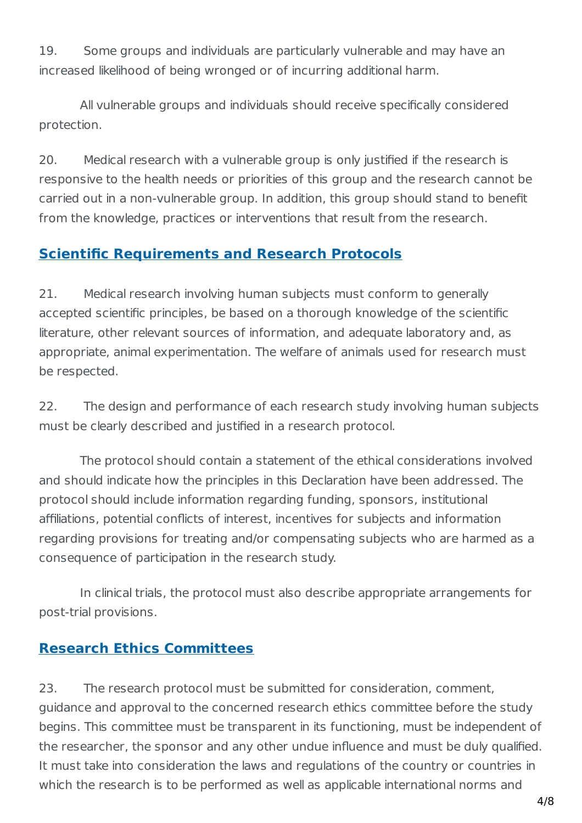19. Some groups and individuals are particularly vulnerable and may have an increased likelihood of being wronged or of incurring additional harm.

All vulnerable groups and individuals should receive specifically considered protection.

20. Medical research with a vulnerable group is only justified if the research is responsive to the health needs or priorities of this group and the research cannot be carried out in a non-vulnerable group. In addition, this group should stand to benefit from the knowledge, practices or interventions that result from the research.

#### **Scientific Requirements and Research Protocols**

21. Medical research involving human subjects must conform to generally accepted scientific principles, be based on a thorough knowledge of the scientific literature, other relevant sources of information, and adequate laboratory and, as appropriate, animal experimentation. The welfare of animals used for research must be respected.

22. The design and performance of each research study involving human subjects must be clearly described and justified in a research protocol.

The protocol should contain a statement of the ethical considerations involved and should indicate how the principles in this Declaration have been addressed. The protocol should include information regarding funding, sponsors, institutional affiliations, potential conflicts of interest, incentives for subjects and information regarding provisions for treating and/or compensating subjects who are harmed as a consequence of participation in the research study.

In clinical trials, the protocol must also describe appropriate arrangements for post-trial provisions.

#### **Research Ethics Committees**

23. The research protocol must be submitted for consideration, comment, guidance and approval to the concerned research ethics committee before the study begins. This committee must be transparent in its functioning, must be independent of the researcher, the sponsor and any other undue influence and must be duly qualified. It must take into consideration the laws and regulations of the country or countries in which the research is to be performed as well as applicable international norms and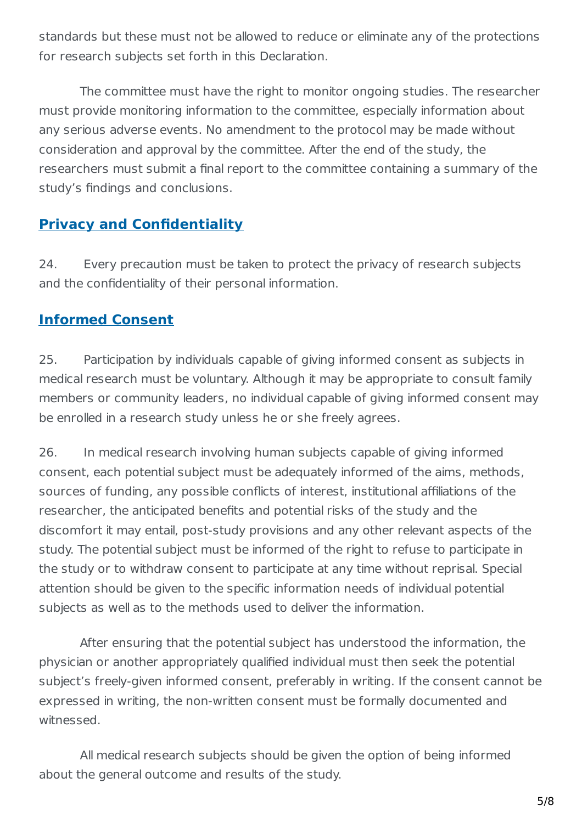standards but these must not be allowed to reduce or eliminate any of the protections for research subjects set forth in this Declaration.

The committee must have the right to monitor ongoing studies. The researcher must provide monitoring information to the committee, especially information about any serious adverse events. No amendment to the protocol may be made without consideration and approval by the committee. After the end of the study, the researchers must submit a final report to the committee containing a summary of the study's findings and conclusions.

## **Privacy and Confidentiality**

24. Every precaution must be taken to protect the privacy of research subjects and the confidentiality of their personal information.

# **Informed Consent**

25. Participation by individuals capable of giving informed consent as subjects in medical research must be voluntary. Although it may be appropriate to consult family members or community leaders, no individual capable of giving informed consent may be enrolled in a research study unless he or she freely agrees.

26. In medical research involving human subjects capable of giving informed consent, each potential subject must be adequately informed of the aims, methods, sources of funding, any possible conflicts of interest, institutional affiliations of the researcher, the anticipated benefits and potential risks of the study and the discomfort it may entail, post-study provisions and any other relevant aspects of the study. The potential subject must be informed of the right to refuse to participate in the study or to withdraw consent to participate at any time without reprisal. Special attention should be given to the specific information needs of individual potential subjects as well as to the methods used to deliver the information.

After ensuring that the potential subject has understood the information, the physician or another appropriately qualified individual must then seek the potential subject's freely-given informed consent, preferably in writing. If the consent cannot be expressed in writing, the non-written consent must be formally documented and witnessed.

All medical research subjects should be given the option of being informed about the general outcome and results of the study.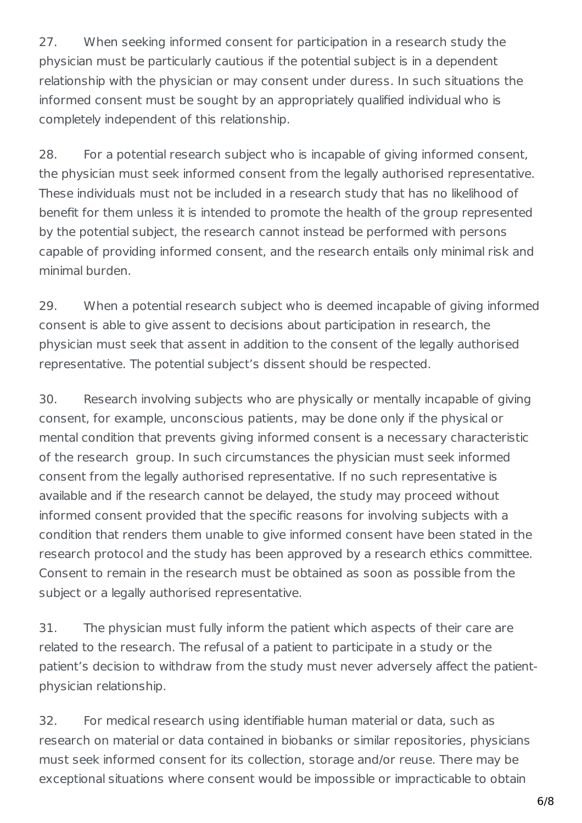27. When seeking informed consent for participation in a research study the physician must be particularly cautious if the potential subject is in a dependent relationship with the physician or may consent under duress. In such situations the informed consent must be sought by an appropriately qualified individual who is completely independent of this relationship.

28. For a potential research subject who is incapable of giving informed consent, the physician must seek informed consent from the legally authorised representative. These individuals must not be included in a research study that has no likelihood of benefit for them unless it is intended to promote the health of the group represented by the potential subject, the research cannot instead be performed with persons capable of providing informed consent, and the research entails only minimal risk and minimal burden.

29. When a potential research subject who is deemed incapable of giving informed consent is able to give assent to decisions about participation in research, the physician must seek that assent in addition to the consent of the legally authorised representative. The potential subject's dissent should be respected.

30. Research involving subjects who are physically or mentally incapable of giving consent, for example, unconscious patients, may be done only if the physical or mental condition that prevents giving informed consent is a necessary characteristic of the research group. In such circumstances the physician must seek informed consent from the legally authorised representative. If no such representative is available and if the research cannot be delayed, the study may proceed without informed consent provided that the specific reasons for involving subjects with a condition that renders them unable to give informed consent have been stated in the research protocol and the study has been approved by a research ethics committee. Consent to remain in the research must be obtained as soon as possible from the subject or a legally authorised representative.

31. The physician must fully inform the patient which aspects of their care are related to the research. The refusal of a patient to participate in a study or the patient's decision to withdraw from the study must never adversely affect the patientphysician relationship.

32. For medical research using identifiable human material or data, such as research on material or data contained in biobanks or similar repositories, physicians must seek informed consent for its collection, storage and/or reuse. There may be exceptional situations where consent would be impossible or impracticable to obtain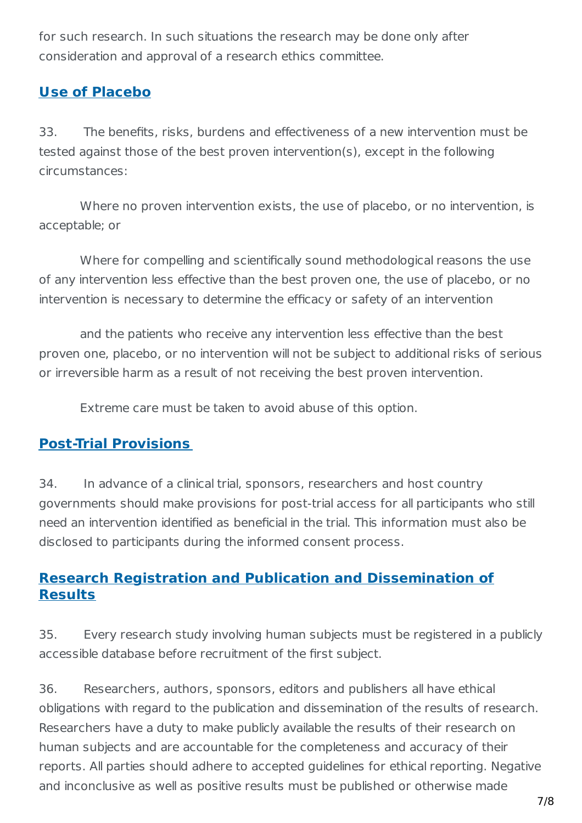for such research. In such situations the research may be done only after consideration and approval of a research ethics committee.

## **Use of Placebo**

33. The benefits, risks, burdens and effectiveness of a new intervention must be tested against those of the best proven intervention(s), except in the following circumstances:

Where no proven intervention exists, the use of placebo, or no intervention, is acceptable; or

Where for compelling and scientifically sound methodological reasons the use of any intervention less effective than the best proven one, the use of placebo, or no intervention is necessary to determine the efficacy or safety of an intervention

and the patients who receive any intervention less effective than the best proven one, placebo, or no intervention will not be subject to additional risks of serious or irreversible harm as a result of not receiving the best proven intervention.

Extreme care must be taken to avoid abuse of this option.

## **Post-Trial Provisions**

34. In advance of a clinical trial, sponsors, researchers and host country governments should make provisions for post-trial access for all participants who still need an intervention identified as beneficial in the trial. This information must also be disclosed to participants during the informed consent process.

#### **Research Registration and Publication and Dissemination of Results**

35. Every research study involving human subjects must be registered in a publicly accessible database before recruitment of the first subject.

36. Researchers, authors, sponsors, editors and publishers all have ethical obligations with regard to the publication and dissemination of the results of research. Researchers have a duty to make publicly available the results of their research on human subjects and are accountable for the completeness and accuracy of their reports. All parties should adhere to accepted guidelines for ethical reporting. Negative and inconclusive as well as positive results must be published or otherwise made